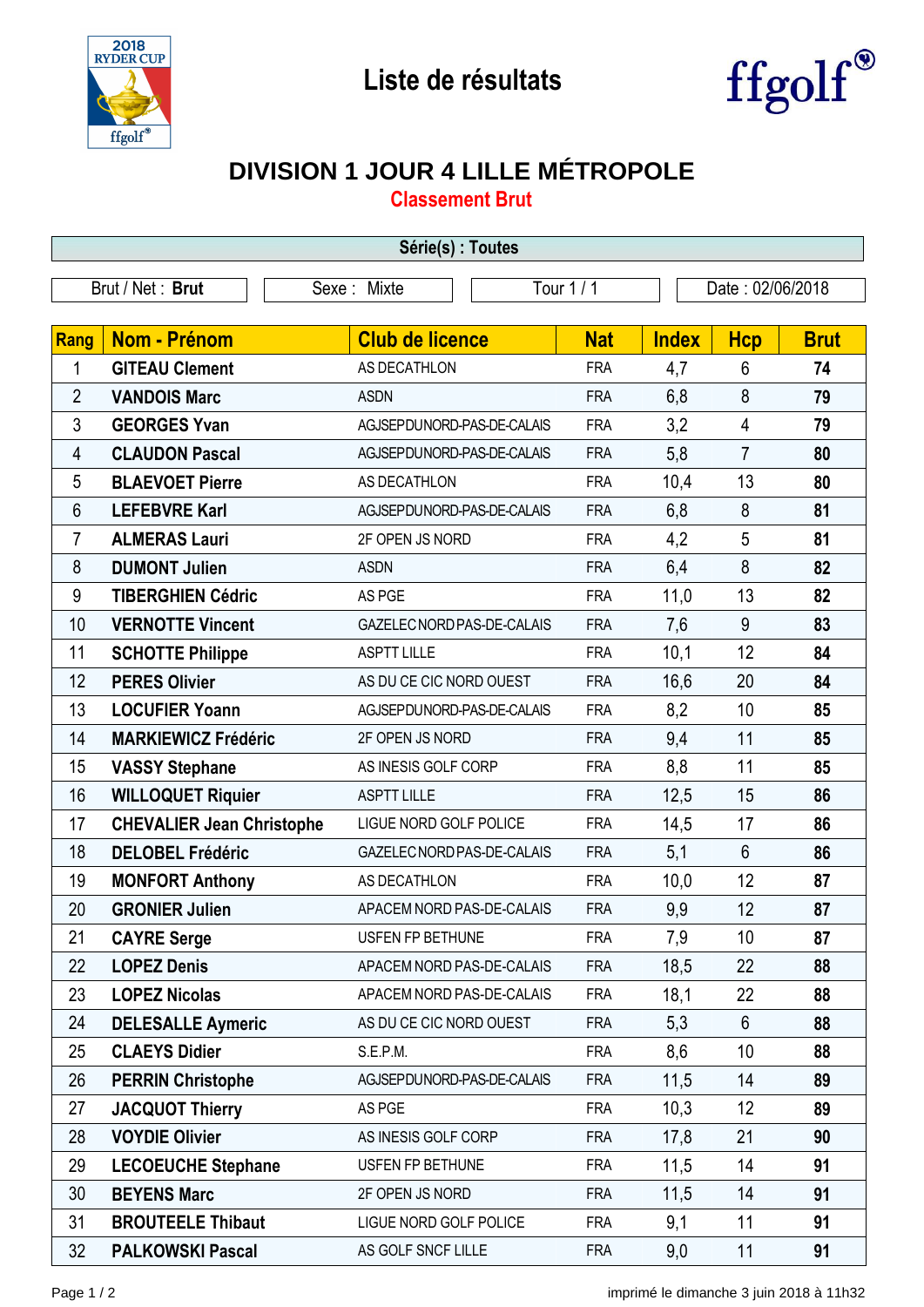



## **DIVISION 1 JOUR 4 LILLE MÉTROPOLE**

**Classement Brut**

| Série(s) : Toutes |                                  |                            |                                          |              |                  |             |  |  |  |
|-------------------|----------------------------------|----------------------------|------------------------------------------|--------------|------------------|-------------|--|--|--|
| Brut / Net: Brut  |                                  | Sexe: Mixte                | Tour 1 / 1                               |              | Date: 02/06/2018 |             |  |  |  |
|                   |                                  |                            |                                          |              |                  |             |  |  |  |
| Rang              | Nom - Prénom                     | <b>Club de licence</b>     | <b>Nat</b>                               | <b>Index</b> | <b>Hcp</b>       | <b>Brut</b> |  |  |  |
| 1                 | <b>GITEAU Clement</b>            | AS DECATHLON               | <b>FRA</b>                               | 4,7          | 6                | 74          |  |  |  |
| $\overline{2}$    | <b>VANDOIS Marc</b>              | <b>ASDN</b>                | <b>FRA</b>                               | 6,8          | 8                | 79          |  |  |  |
| 3                 | <b>GEORGES Yvan</b>              | AGJSEPDUNORD-PAS-DE-CALAIS | <b>FRA</b>                               | 3,2          | $\overline{4}$   | 79          |  |  |  |
| 4                 | <b>CLAUDON Pascal</b>            | AGJSEPDUNORD-PAS-DE-CALAIS | <b>FRA</b>                               | 5,8          | $\overline{7}$   | 80          |  |  |  |
| 5                 | <b>BLAEVOET Pierre</b>           | AS DECATHLON               | <b>FRA</b>                               | 10,4         | 13               | 80          |  |  |  |
| 6                 | <b>LEFEBVRE Karl</b>             | AGJSEPDUNORD-PAS-DE-CALAIS | <b>FRA</b>                               | 6,8          | 8                | 81          |  |  |  |
| $\overline{7}$    | <b>ALMERAS Lauri</b>             | 2F OPEN JS NORD            | <b>FRA</b>                               | 4,2          | 5                | 81          |  |  |  |
| 8                 | <b>DUMONT Julien</b>             | <b>ASDN</b>                | <b>FRA</b>                               | 6,4          | 8                | 82          |  |  |  |
| 9                 | <b>TIBERGHIEN Cédric</b>         | AS PGE                     | <b>FRA</b>                               | 11,0         | 13               | 82          |  |  |  |
| 10                | <b>VERNOTTE Vincent</b>          |                            | GAZELEC NORD PAS-DE-CALAIS<br><b>FRA</b> | 7,6          | 9                | 83          |  |  |  |
| 11                | <b>SCHOTTE Philippe</b>          | <b>ASPTT LILLE</b>         | <b>FRA</b>                               | 10,1         | 12               | 84          |  |  |  |
| 12                | <b>PERES Olivier</b>             | AS DU CE CIC NORD OUEST    | <b>FRA</b>                               | 16,6         | 20               | 84          |  |  |  |
| 13                | <b>LOCUFIER Yoann</b>            | AGJSEPDUNORD-PAS-DE-CALAIS | <b>FRA</b>                               | 8,2          | 10               | 85          |  |  |  |
| 14                | <b>MARKIEWICZ Frédéric</b>       | 2F OPEN JS NORD            | <b>FRA</b>                               | 9,4          | 11               | 85          |  |  |  |
| 15                | <b>VASSY Stephane</b>            | AS INESIS GOLF CORP        | <b>FRA</b>                               | 8,8          | 11               | 85          |  |  |  |
| 16                | <b>WILLOQUET Riquier</b>         | <b>ASPTT LILLE</b>         | <b>FRA</b>                               | 12,5         | 15               | 86          |  |  |  |
| 17                | <b>CHEVALIER Jean Christophe</b> | LIGUE NORD GOLF POLICE     | <b>FRA</b>                               | 14,5         | 17               | 86          |  |  |  |
| 18                | <b>DELOBEL Frédéric</b>          |                            | <b>FRA</b><br>GAZELEC NORD PAS-DE-CALAIS | 5,1          | $6\phantom{1}$   | 86          |  |  |  |
| 19                | <b>MONFORT Anthony</b>           | AS DECATHLON               | <b>FRA</b>                               | 10,0         | 12               | 87          |  |  |  |
| 20                | <b>GRONIER Julien</b>            | APACEM NORD PAS-DE-CALAIS  | <b>FRA</b>                               | 9,9          | 12               | 87          |  |  |  |
| 21                | <b>CAYRE Serge</b>               | USFEN FP BETHUNE           | <b>FRA</b>                               | 7,9          | 10               | 87          |  |  |  |
| 22                | <b>LOPEZ Denis</b>               |                            | APACEM NORD PAS-DE-CALAIS<br><b>FRA</b>  | 18,5         | 22               | 88          |  |  |  |
| 23                | <b>LOPEZ Nicolas</b>             |                            | APACEM NORD PAS-DE-CALAIS<br><b>FRA</b>  | 18,1         | 22               | 88          |  |  |  |
| 24                | <b>DELESALLE Aymeric</b>         | AS DU CE CIC NORD OUEST    | <b>FRA</b>                               | 5,3          | 6                | 88          |  |  |  |
| 25                | <b>CLAEYS Didier</b>             | S.E.P.M.                   | <b>FRA</b>                               | 8,6          | 10               | 88          |  |  |  |
| 26                | <b>PERRIN Christophe</b>         |                            | AGJSEPDUNORD-PAS-DE-CALAIS<br><b>FRA</b> | 11,5         | 14               | 89          |  |  |  |
| 27                | <b>JACQUOT Thierry</b>           | AS PGE                     | <b>FRA</b>                               | 10,3         | 12               | 89          |  |  |  |
| 28                | <b>VOYDIE Olivier</b>            | AS INESIS GOLF CORP        | <b>FRA</b>                               | 17,8         | 21               | 90          |  |  |  |
| 29                | <b>LECOEUCHE Stephane</b>        | USFEN FP BETHUNE           | <b>FRA</b>                               | 11,5         | 14               | 91          |  |  |  |
| 30                | <b>BEYENS Marc</b>               | 2F OPEN JS NORD            | <b>FRA</b>                               | 11,5         | 14               | 91          |  |  |  |
| 31                | <b>BROUTEELE Thibaut</b>         | LIGUE NORD GOLF POLICE     | <b>FRA</b>                               | 9,1          | 11               | 91          |  |  |  |
| 32                | <b>PALKOWSKI Pascal</b>          | AS GOLF SNCF LILLE         | <b>FRA</b>                               | 9,0          | 11               | 91          |  |  |  |